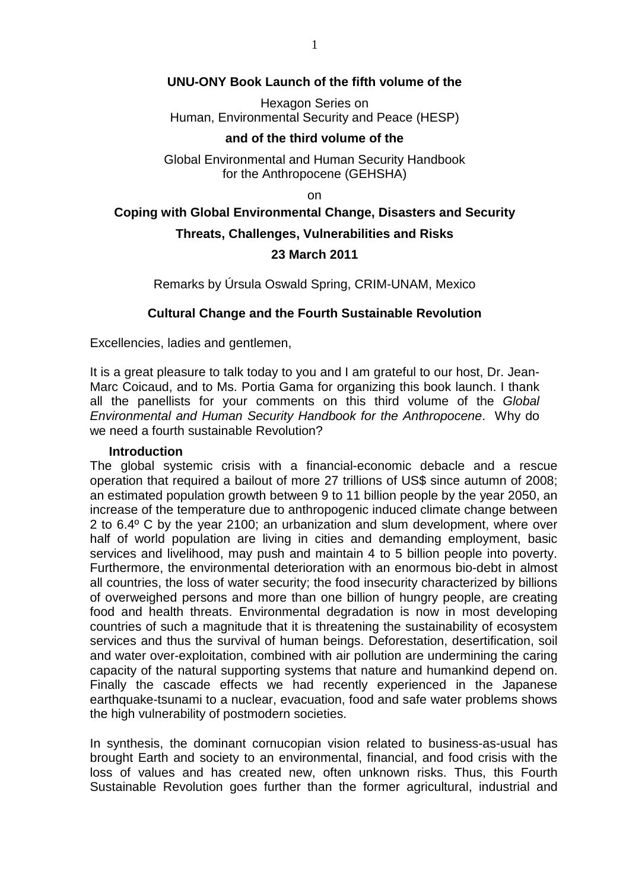## **UNU-ONY Book Launch of the fifth volume of the**

Hexagon Series on Human, Environmental Security and Peace (HESP)

#### **and of the third volume of the**

Global Environmental and Human Security Handbook for the Anthropocene (GEHSHA)

on

# **Coping with Global Environmental Change, Disasters and Security Threats, Challenges, Vulnerabilities and Risks 23 March 2011**

Remarks by Úrsula Oswald Spring, CRIM-UNAM, Mexico

## **Cultural Change and the Fourth Sustainable Revolution**

Excellencies, ladies and gentlemen,

It is a great pleasure to talk today to you and I am grateful to our host, Dr. Jean-Marc Coicaud, and to Ms. Portia Gama for organizing this book launch. I thank all the panellists for your comments on this third volume of the Global Environmental and Human Security Handbook for the Anthropocene. Why do we need a fourth sustainable Revolution?

#### **Introduction**

The global systemic crisis with a financial-economic debacle and a rescue operation that required a bailout of more 27 trillions of US\$ since autumn of 2008; an estimated population growth between 9 to 11 billion people by the year 2050, an increase of the temperature due to anthropogenic induced climate change between 2 to 6.4º C by the year 2100; an urbanization and slum development, where over half of world population are living in cities and demanding employment, basic services and livelihood, may push and maintain 4 to 5 billion people into poverty. Furthermore, the environmental deterioration with an enormous bio-debt in almost all countries, the loss of water security; the food insecurity characterized by billions of overweighed persons and more than one billion of hungry people, are creating food and health threats. Environmental degradation is now in most developing countries of such a magnitude that it is threatening the sustainability of ecosystem services and thus the survival of human beings. Deforestation, desertification, soil and water over-exploitation, combined with air pollution are undermining the caring capacity of the natural supporting systems that nature and humankind depend on. Finally the cascade effects we had recently experienced in the Japanese earthquake-tsunami to a nuclear, evacuation, food and safe water problems shows the high vulnerability of postmodern societies.

In synthesis, the dominant cornucopian vision related to business-as-usual has brought Earth and society to an environmental, financial, and food crisis with the loss of values and has created new, often unknown risks. Thus, this Fourth Sustainable Revolution goes further than the former agricultural, industrial and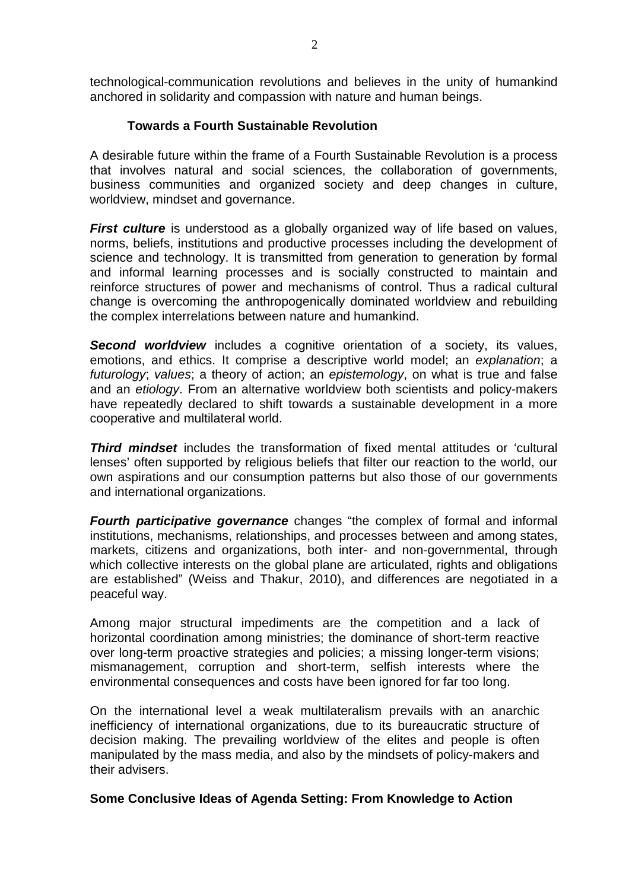technological-communication revolutions and believes in the unity of humankind anchored in solidarity and compassion with nature and human beings.

## **Towards a Fourth Sustainable Revolution**

A desirable future within the frame of a Fourth Sustainable Revolution is a process that involves natural and social sciences, the collaboration of governments, business communities and organized society and deep changes in culture, worldview, mindset and governance.

**First culture** is understood as a globally organized way of life based on values, norms, beliefs, institutions and productive processes including the development of science and technology. It is transmitted from generation to generation by formal and informal learning processes and is socially constructed to maintain and reinforce structures of power and mechanisms of control. Thus a radical cultural change is overcoming the anthropogenically dominated worldview and rebuilding the complex interrelations between nature and humankind.

**Second worldview** includes a cognitive orientation of a society, its values, emotions, and ethics. It comprise a descriptive world model; an explanation; a futurology; values; a theory of action; an epistemology, on what is true and false and an etiology. From an alternative worldview both scientists and policy-makers have repeatedly declared to shift towards a sustainable development in a more cooperative and multilateral world.

**Third mindset** includes the transformation of fixed mental attitudes or 'cultural lenses' often supported by religious beliefs that filter our reaction to the world, our own aspirations and our consumption patterns but also those of our governments and international organizations.

**Fourth participative governance** changes "the complex of formal and informal institutions, mechanisms, relationships, and processes between and among states, markets, citizens and organizations, both inter- and non-governmental, through which collective interests on the global plane are articulated, rights and obligations are established" (Weiss and Thakur, 2010), and differences are negotiated in a peaceful way.

Among major structural impediments are the competition and a lack of horizontal coordination among ministries; the dominance of short-term reactive over long-term proactive strategies and policies; a missing longer-term visions; mismanagement, corruption and short-term, selfish interests where the environmental consequences and costs have been ignored for far too long.

On the international level a weak multilateralism prevails with an anarchic inefficiency of international organizations, due to its bureaucratic structure of decision making. The prevailing worldview of the elites and people is often manipulated by the mass media, and also by the mindsets of policy-makers and their advisers.

## **Some Conclusive Ideas of Agenda Setting: From Knowledge to Action**